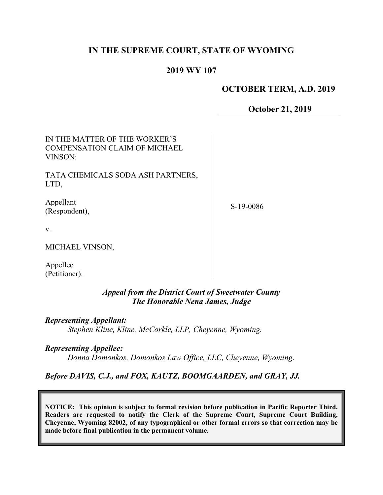# **IN THE SUPREME COURT, STATE OF WYOMING**

## **2019 WY 107**

#### **OCTOBER TERM, A.D. 2019**

**October 21, 2019**

| IN THE MATTER OF THE WORKER'S<br><b>COMPENSATION CLAIM OF MICHAEL</b><br>VINSON: |             |
|----------------------------------------------------------------------------------|-------------|
| TATA CHEMICALS SODA ASH PARTNERS,<br>LTD,                                        |             |
| Appellant<br>(Respondent),                                                       | $S-19-0086$ |
| V.                                                                               |             |
| MICHAEL VINSON,                                                                  |             |
| Appellee<br>(Petitioner).                                                        |             |

*Appeal from the District Court of Sweetwater County The Honorable Nena James, Judge*

*Representing Appellant:*

*Stephen Kline, Kline, McCorkle, LLP, Cheyenne, Wyoming.*

*Representing Appellee:*

*Donna Domonkos, Domonkos Law Office, LLC, Cheyenne, Wyoming.*

*Before DAVIS, C.J., and FOX, KAUTZ, BOOMGAARDEN, and GRAY, JJ.*

**NOTICE: This opinion is subject to formal revision before publication in Pacific Reporter Third. Readers are requested to notify the Clerk of the Supreme Court, Supreme Court Building, Cheyenne, Wyoming 82002, of any typographical or other formal errors so that correction may be made before final publication in the permanent volume.**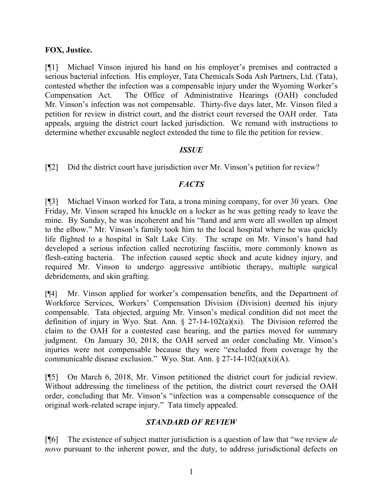### **FOX, Justice.**

[¶1] Michael Vinson injured his hand on his employer's premises and contracted a serious bacterial infection. His employer, Tata Chemicals Soda Ash Partners, Ltd. (Tata), contested whether the infection was a compensable injury under the Wyoming Worker's Compensation Act. The Office of Administrative Hearings (OAH) concluded Mr. Vinson's infection was not compensable. Thirty-five days later, Mr. Vinson filed a petition for review in district court, and the district court reversed the OAH order. Tata appeals, arguing the district court lacked jurisdiction. We remand with instructions to determine whether excusable neglect extended the time to file the petition for review.

### *ISSUE*

[¶2] Did the district court have jurisdiction over Mr. Vinson's petition for review?

### *FACTS*

[¶3] Michael Vinson worked for Tata, a trona mining company, for over 30 years. One Friday, Mr. Vinson scraped his knuckle on a locker as he was getting ready to leave the mine. By Sunday, he was incoherent and his "hand and arm were all swollen up almost to the elbow." Mr. Vinson's family took him to the local hospital where he was quickly life flighted to a hospital in Salt Lake City. The scrape on Mr. Vinson's hand had developed a serious infection called necrotizing fasciitis, more commonly known as flesh-eating bacteria. The infection caused septic shock and acute kidney injury, and required Mr. Vinson to undergo aggressive antibiotic therapy, multiple surgical debridements, and skin grafting.

[¶4] Mr. Vinson applied for worker's compensation benefits, and the Department of Workforce Services, Workers' Compensation Division (Division) deemed his injury compensable. Tata objected, arguing Mr. Vinson's medical condition did not meet the definition of injury in Wyo. Stat. Ann.  $\S$  27-14-102(a)(xi). The Division referred the claim to the OAH for a contested case hearing, and the parties moved for summary judgment. On January 30, 2018, the OAH served an order concluding Mr. Vinson's injuries were not compensable because they were "excluded from coverage by the communicable disease exclusion." Wyo. Stat. Ann. § 27-14-102(a)(xi)(A).

[¶5] On March 6, 2018, Mr. Vinson petitioned the district court for judicial review. Without addressing the timeliness of the petition, the district court reversed the OAH order, concluding that Mr. Vinson's "infection was a compensable consequence of the original work-related scrape injury." Tata timely appealed.

## *STANDARD OF REVIEW*

[¶6] The existence of subject matter jurisdiction is a question of law that "we review *de novo* pursuant to the inherent power, and the duty, to address jurisdictional defects on